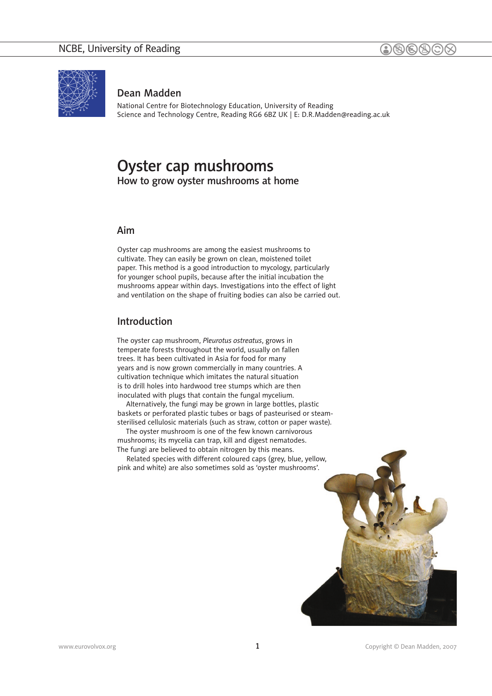

### Dean Madden

National Centre for Biotechnology Education, University of Reading Science and Technology Centre, Reading RG6 6BZ UK | E: [D.R.Madden@reading.ac.uk](mailto:D.R.Madden@reading.ac.uk)

# Oyster cap mushrooms How to grow oyster mushrooms at home

### Aim

Oyster cap mushrooms are among the easiest mushrooms to cultivate. They can easily be grown on clean, moistened toilet paper. This method is a good introduction to mycology, particularly for younger school pupils, because after the initial incubation the mushrooms appear within days. Investigations into the effect of light and ventilation on the shape of fruiting bodies can also be carried out.

### Introduction

The oyster cap mushroom, *Pleurotus ostreatus*, grows in temperate forests throughout the world, usually on fallen trees. It has been cultivated in Asia for food for many years and is now grown commercially in many countries. A cultivation technique which imitates the natural situation is to drill holes into hardwood tree stumps which are then inoculated with plugs that contain the fungal mycelium.

Alternatively, the fungi may be grown in large bottles, plastic baskets or perforated plastic tubes or bags of pasteurised or steamsterilised cellulosic materials (such as straw, cotton or paper waste).

The oyster mushroom is one of the few known carnivorous mushrooms; its mycelia can trap, kill and digest nematodes. The fungi are believed to obtain nitrogen by this means.

Related species with different coloured caps (grey, blue, yellow, pink and white) are also sometimes sold as 'oyster mushrooms'.

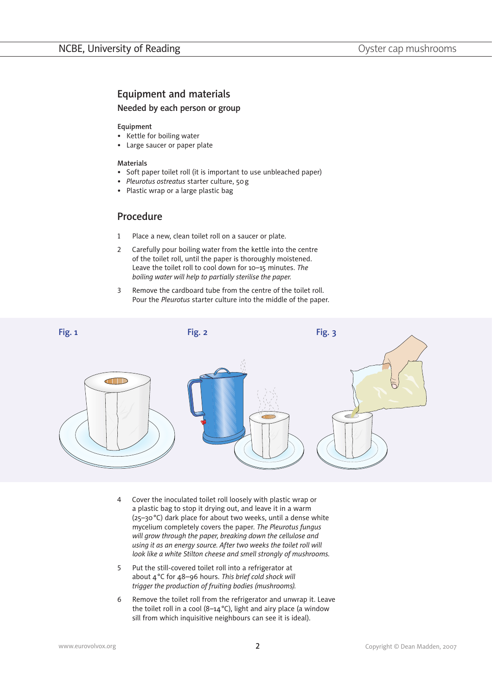## Equipment and materials

### Needed by each person or group

#### Equipment

- Kettle for boiling water
- Large saucer or paper plate •

#### Materials

- Soft paper toilet roll (it is important to use unbleached paper)
- *Pleurotus ostreatus* starter culture, 50g *•*
- Plastic wrap or a large plastic bag •

## Procedure

- Place a new, clean toilet roll on a saucer or plate. 1�
- Carefully pour boiling water from the kettle into the centre of the toilet roll, until the paper is thoroughly moistened. Leave the toilet roll to cool down for 10–15 minutes. *The boiling water will help to partially sterilise the paper.* 2�
- Remove the cardboard tube from the centre of the toilet roll. Pour the *Pleurotus* starter culture into the middle of the paper. 3�



- Cover the inoculated toilet roll loosely with plastic wrap or a plastic bag to stop it drying out, and leave it in a warm (25–30°C) dark place for about two weeks, until a dense white mycelium completely covers the paper. *The Pleurotus fungus will grow through the paper, breaking down the cellulose and using it as an energy source. After two weeks the toilet roll will look like a white Stilton cheese and smell strongly of mushrooms.* 4�
- Put the still-covered toilet roll into a refrigerator at about 4°C for 48–96 hours. *This brief cold shock will trigger the production of fruiting bodies (mushrooms).* 5�
- Remove the toilet roll from the refrigerator and unwrap it. Leave the toilet roll in a cool (8–14°C), light and airy place (a window sill from which inquisitive neighbours can see it is ideal). 6�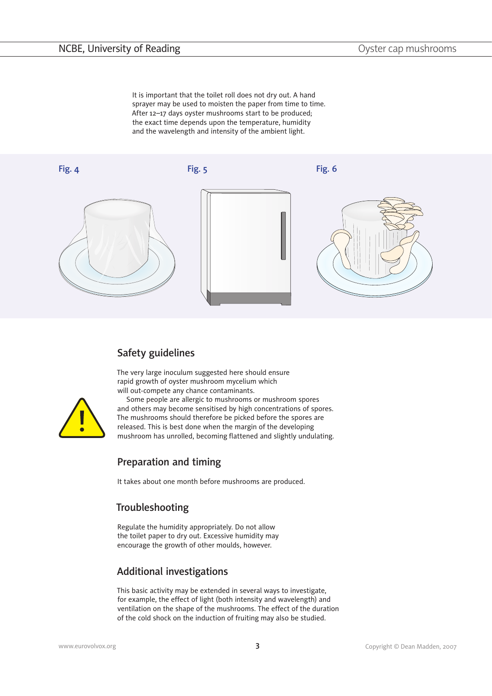It is important that the toilet roll does not dry out. A hand sprayer may be used to moisten the paper from time to time. After 12–17 days oyster mushrooms start to be produced; the exact time depends upon the temperature, humidity and the wavelength and intensity of the ambient light.



# Safety guidelines

The very large inoculum suggested here should ensure rapid growth of oyster mushroom mycelium which will out-compete any chance contaminants.



Some people are allergic to mushrooms or mushroom spores and others may become sensitised by high concentrations of spores. The mushrooms should therefore be picked before the spores are released. This is best done when the margin of the developing mushroom has unrolled, becoming flattened and slightly undulating.

## Preparation and timing

It takes about one month before mushrooms are produced.

## Troubleshooting

Regulate the humidity appropriately. Do not allow the toilet paper to dry out. Excessive humidity may encourage the growth of other moulds, however.

# Additional investigations

This basic activity may be extended in several ways to investigate, for example, the effect of light (both intensity and wavelength) and ventilation on the shape of the mushrooms. The effect of the duration of the cold shock on the induction of fruiting may also be studied.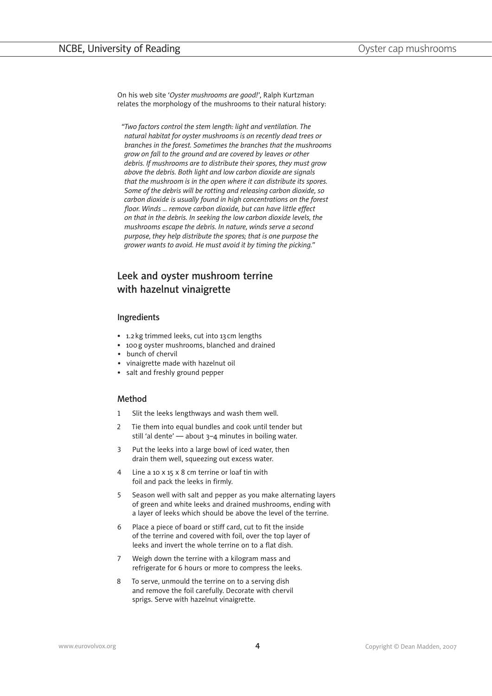On his web site '*Oyster mushrooms are good!*', Ralph Kurtzman relates the morphology of the mushrooms to their natural history:

*"Two factors control the stem length: light and ventilation. The natural habitat for oyster mushrooms is on recently dead trees or branches in the forest. Sometimes the branches that the mushrooms grow on fall to the ground and are covered by leaves or other debris. If mushrooms are to distribute their spores, they must grow above the debris. Both light and low carbon dioxide are signals that the mushroom is in the open where it can distribute its spores. Some of the debris will be rotting and releasing carbon dioxide, so carbon dioxide is usually found in high concentrations on the forest floor. Winds ... remove carbon dioxide, but can have little effect on that in the debris. In seeking the low carbon dioxide levels, the mushrooms escape the debris. In nature, winds serve a second purpose, they help distribute the spores; that is one purpose the grower wants to avoid. He must avoid it by timing the picking."*

## Leek and oyster mushroom terrine with hazelnut vinaigrette

#### Ingredients

- 1.2 kg trimmed leeks, cut into 13 cm lengths
- 100g oyster mushrooms, blanched and drained
- bunch of chervil
- vinaigrette made with hazelnut oil
- salt and freshly ground pepper

### Method

- Slit the leeks lengthways and wash them well. 1�
- Tie them into equal bundles and cook until tender but still 'al dente' — about 3–4 minutes in boiling water.  $\overline{\mathcal{L}}$
- Put the leeks into a large bowl of iced water, then drain them well, squeezing out excess water. 3�
- Line a 10 x 15 x 8 cm terrine or loaf tin with foil and pack the leeks in firmly. 4�
- Season well with salt and pepper as you make alternating layers of green and white leeks and drained mushrooms, ending with a layer of leeks which should be above the level of the terrine. 5�
- Place a piece of board or stiff card, cut to fit the inside of the terrine and covered with foil, over the top layer of leeks and invert the whole terrine on to a flat dish. 6�
- Weigh down the terrine with a kilogram mass and refrigerate for 6 hours or more to compress the leeks. 7�
- To serve, unmould the terrine on to a serving dish and remove the foil carefully. Decorate with chervil sprigs. Serve with hazelnut vinaigrette. 8�